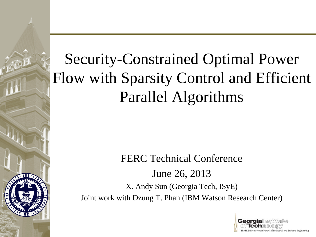#### Security-Constrained Optimal Power Flow with Sparsity Control and Efficient Parallel Algorithms

#### FERC Technical Conference June 26, 2013

X. Andy Sun (Georgia Tech, ISyE) Joint work with Dzung T. Phan (IBM Watson Research Center)

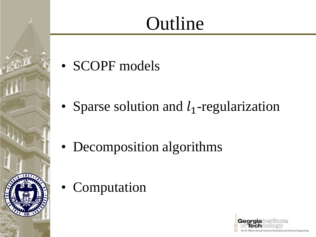#### **Outline**

• SCOPF models

• Sparse solution and  $l_1$ -regularization

• Decomposition algorithms

• Computation

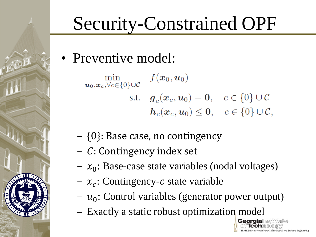• Preventive model:

 $\min_{\boldsymbol{u}_0,\boldsymbol{x}_c,\forall c\in\{0\}\cup\mathcal{C}}\quad f(\boldsymbol{x}_0,\boldsymbol{u}_0)$ s.t.  $g_c(x_c, u_0) = 0, \quad c \in \{0\} \cup C$  $h_c(x_c, u_0) \leq 0, \quad c \in \{0\} \cup \mathcal{C},$ 

- {0}: Base case, no contingency
- $-$  C: Contingency index set
- $x_0$ : Base-case state variables (nodal voltages)
- $x_c$ : Contingency-c state variable
- $u_0$ : Control variables (generator power output)
- Exactly a static robust optimization model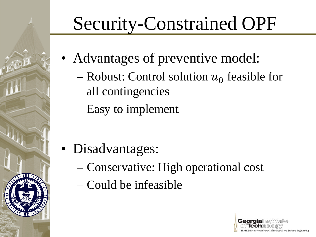- Advantages of preventive model:
	- Robust: Control solution  $u_0$  feasible for all contingencies
	- Easy to implement

- Disadvantages:
	- Conservative: High operational cost
	- Could be infeasible

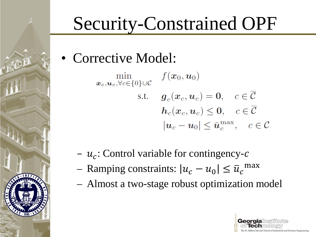• Corrective Model:

 $\min_{\boldsymbol{x}_c, \boldsymbol{u}_c, \forall c \in \{0\} \cup \mathcal{C}} f(\boldsymbol{x}_0, \boldsymbol{u}_0)$ s.t.  $g_c(x_c, u_c) = 0, \quad c \in \overline{\mathcal{C}}$  $h_c(x_c, u_c) \leq 0, \quad c \in \overline{\mathcal{C}}$  $|\boldsymbol{u}_c - \boldsymbol{u}_0| \leq \bar{\boldsymbol{u}}_c^{\max}, \quad c \in \mathcal{C}$ 

- $u_c$ : Control variable for contingency-c
- Ramping constraints:  $|u_c u_0| \le \overline{u}_c^{\text{max}}$
- Almost a two-stage robust optimization model

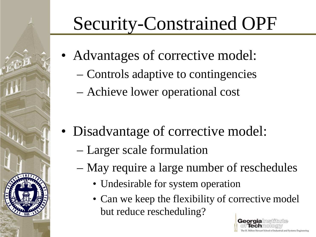- Advantages of corrective model:
	- Controls adaptive to contingencies
	- Achieve lower operational cost

- Disadvantage of corrective model:
	- Larger scale formulation
	- May require a large number of reschedules
		- Undesirable for system operation
		- Can we keep the flexibility of corrective model but reduce rescheduling?

Georgia

filton Stewart School of Industrial and Systems Engineering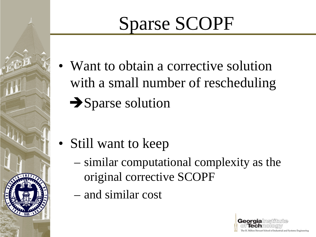# Sparse SCOPF

• Want to obtain a corrective solution with a small number of rescheduling  $\rightarrow$  Sparse solution

- Still want to keep
	- similar computational complexity as the original corrective SCOPF
	- and similar cost

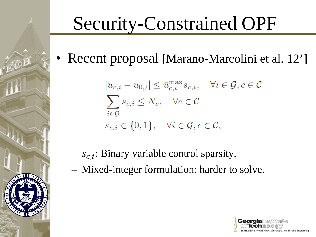• Recent proposal [Marano-Marcolini et al. 12']

$$
|u_{c,i} - u_{0,i}| \le \bar{u}_{c,i}^{\max} s_{c,i}, \quad \forall i \in \mathcal{G}, c \in \mathcal{C}
$$
  

$$
\sum_{i \in \mathcal{G}} s_{c,i} \le N_c, \quad \forall c \in \mathcal{C}
$$
  

$$
s_{c,i} \in \{0, 1\}, \quad \forall i \in \mathcal{G}, c \in \mathcal{C},
$$

- $s_{c,i}$ : Binary variable control sparsity.
- Mixed-integer formulation: harder to solve.

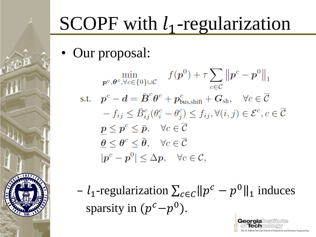# SCOPF with  $l_1$ -regularization

• Our proposal:

$$
\min_{\mathbf{p}^c, \theta^c, \forall c \in \{0\} \cup \mathcal{C}} f(\mathbf{p}^0) + \tau \sum_{c \in \mathcal{C}} ||\mathbf{p}^c - \mathbf{p}^0||_1
$$
\n
$$
\text{s.t. } \mathbf{p}^c - \mathbf{d} = \mathbf{B}^c \theta^c + \mathbf{p}_{\text{bus,shift}}^c + \mathbf{G}_{\text{sh}}, \quad \forall c \in \overline{\mathcal{C}}
$$
\n
$$
- f_{ij} \leq \bar{B}_{ij}^c (\theta_i^c - \theta_j^c) \leq f_{ij}, \forall (i, j) \in \mathcal{E}^c, c \in \overline{\mathcal{C}}
$$
\n
$$
\underline{\mathbf{p}} \leq \mathbf{p}^c \leq \bar{\mathbf{p}}, \quad \forall c \in \overline{\mathcal{C}}
$$
\n
$$
\underline{\theta} \leq \theta^c \leq \bar{\theta}, \quad \forall c \in \overline{\mathcal{C}}
$$
\n
$$
|\mathbf{p}^c - \mathbf{p}^0| \leq \Delta \mathbf{p}, \quad \forall c \in \mathcal{C},
$$

 $- l_1$ -regularization  $\sum_{c \in C} ||p^c - p^0||_1$  induces sparsity in  $(p^c-p^0)$ .

**Georgia** msth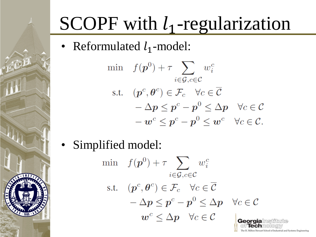# SCOPF with  $l_1$ -regularization

• Reformulated  $l_1$ -model:

$$
\begin{aligned}\n\min \quad & f(\mathbf{p}^0) + \tau \sum_{i \in \mathcal{G}, c \in \mathcal{C}} w_i^c \\
\text{s.t.} \quad & (\mathbf{p}^c, \boldsymbol{\theta}^c) \in \mathcal{F}_c \quad \forall c \in \overline{\mathcal{C}} \\
& -\Delta \mathbf{p} \le \mathbf{p}^c - \mathbf{p}^0 \le \Delta \mathbf{p} \quad \forall c \in \mathcal{C} \\
& -\mathbf{w}^c \le \mathbf{p}^c - \mathbf{p}^0 \le \mathbf{w}^c \quad \forall c \in \mathcal{C}.\n\end{aligned}
$$

• Simplified model:

$$
\begin{aligned}\n\min \quad & f(\mathbf{p}^0) + \tau \sum_{i \in \mathcal{G}, c \in \mathcal{C}} w_i^c \\
\text{s.t.} \quad & (\mathbf{p}^c, \boldsymbol{\theta}^c) \in \mathcal{F}_c \quad \forall c \in \overline{\mathcal{C}} \\
& -\Delta \mathbf{p} \leq \mathbf{p}^c - \mathbf{p}^0 \leq \Delta \mathbf{p} \quad \forall c \in \mathcal{C} \\
& w^c \leq \Delta \mathbf{p} \quad \forall c \in \mathcal{C}\n\end{aligned}
$$

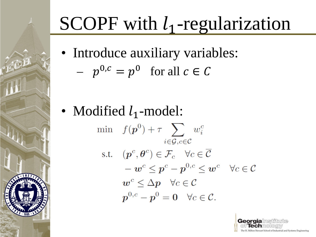# SCOPF with  $l_1$ -regularization

• Introduce auxiliary variables:

$$
- p^{0,c} = p^0 \text{ for all } c \in C
$$

• Modified  $l_1$ -model: min  $f(\boldsymbol{p}^0) + \tau \sum w_i^c$  $i \in \mathcal{G}$ ,  $c \in \mathcal{C}$ s.t.  $(\boldsymbol{p}^c, \boldsymbol{\theta}^c) \in \mathcal{F}_c \quad \forall c \in \overline{\mathcal{C}}$  $-\boldsymbol{w}^c \leq \boldsymbol{p}^c - \boldsymbol{p}^{0,c} \leq \boldsymbol{w}^c \quad \forall c \in \mathcal{C}$  $w^c \leq \Delta p \quad \forall c \in \mathcal{C}$  $p^{0,c} - p^0 = 0 \quad \forall c \in \mathcal{C}.$ 

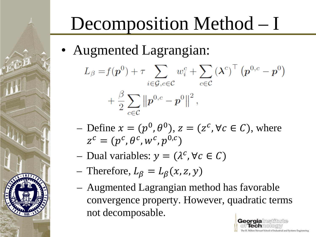## Decomposition Method – I

• Augmented Lagrangian:

$$
L_{\beta} = f(\boldsymbol{p}^{0}) + \tau \sum_{i \in \mathcal{G}, c \in \mathcal{C}} w_{i}^{c} + \sum_{c \in \mathcal{C}} (\boldsymbol{\lambda}^{c})^{\top} (\boldsymbol{p}^{0, c} - \boldsymbol{p}^{0}) + \frac{\beta}{2} \sum_{c \in \mathcal{C}} ||\boldsymbol{p}^{0, c} - \boldsymbol{p}^{0}||^{2},
$$

- $\mathcal{L} = \text{Define } x = (p^0, \theta^0), z = (z^c, \forall c \in C), \text{ where }$  $z^c = (p^c, \theta^c, w^c, p^{0,c})$
- Dual variables:  $y = (\lambda^c, \forall c \in C)$
- Therefore,  $L_{\beta} = L_{\beta}(x, z, y)$
- Augmented Lagrangian method has favorable convergence property. However, quadratic terms not decomposable.

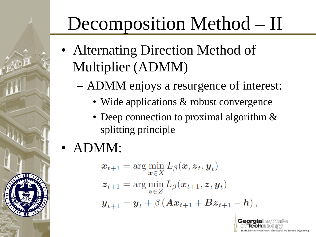### Decomposition Method – II

- Alternating Direction Method of Multiplier (ADMM)
	- ADMM enjoys a resurgence of interest:
		- Wide applications & robust convergence
		- Deep connection to proximal algorithm & splitting principle
- ADMM:

$$
\begin{aligned} \boldsymbol{x}_{t+1} &= \arg\min_{\boldsymbol{x}\in X} L_{\beta}(\boldsymbol{x}, \boldsymbol{z}_t, \boldsymbol{y}_t) \\ \boldsymbol{z}_{t+1} &= \arg\min_{\boldsymbol{z}\in Z} L_{\beta}(\boldsymbol{x}_{t+1}, \boldsymbol{z}, \boldsymbol{y}_t) \\ \boldsymbol{y}_{t+1} &= \boldsymbol{y}_t + \beta \left(\boldsymbol{A}\boldsymbol{x}_{t+1} + \boldsymbol{B}\boldsymbol{z}_{t+1} - \boldsymbol{h}\right) \end{aligned}
$$

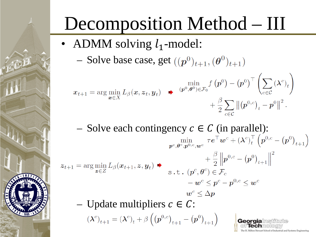## Decomposition Method – III

- ADMM solving  $l_1$ -model:
	- Solve base case, get  $((p^0)_{t+1}, (\theta^0)_{t+1})$

$$
x_{t+1} = \arg\min_{\boldsymbol{x}\in X} L_{\beta}(\boldsymbol{x}, \boldsymbol{z}_t, \boldsymbol{y}_t) \rightarrow (p^0, \theta^0) \in \mathcal{F}_0} \frac{\min_{(\boldsymbol{p}^0, \boldsymbol{\theta}^0) \in \mathcal{F}_0} f(\boldsymbol{p}^0) - (\boldsymbol{p}^0)^\top \left(\sum_{c \in \mathcal{C}} (\boldsymbol{\lambda}^c)_t\right)}{\sum_{c \in \mathcal{C}} ||(\boldsymbol{p}^{0,c})_t - \boldsymbol{p}^0||^2}.
$$

– Solve each contingency  $c \in C$  (in parallel):<br> $\lim_{p \in \theta^c, p^0, e, w^c} \tau e^{\top} w^c + (\lambda^c)_t^{\top} (p^{0,c} - (p^0)_{t+1})$  $\left\|+\frac{\beta}{2}\left\|{\bm p}^{0,c}-\left({\bm p}^0\right)_{t+1}\right\|^2\right\|$  $z_{t+1} = \arg\min_{\mathbf{z}\in Z} L_{\beta}(\mathbf{x}_{t+1}, \mathbf{z}, \mathbf{y}_t)$   $\rightarrow$   $\frac{\tau}{2} \frac{\partial}{\partial \mathbf{z}}$  $\boldsymbol{v} - \boldsymbol{w}^c \leq \boldsymbol{p}^c - \boldsymbol{p}^{0,c} \leq \boldsymbol{w}^c$  $\bm{w}^c \leq \Delta \bm{p}$ – Update multipliers  $c \in \mathcal{C}$ :

Georgia

Milton Stewart School of Industrial and Systems Engineering

 $(\lambda^{c})_{t+1} = (\lambda^{c})_{t} + \beta ((p^{0,c})_{t+1} - (p^{0})_{t+1})$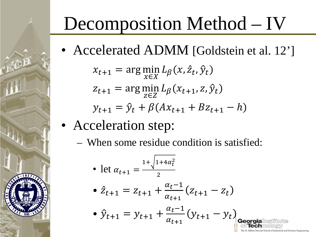# Decomposition Method – IV

• Accelerated ADMM [Goldstein et al. 12']

$$
x_{t+1} = \arg\min_{x \in X} L_{\beta}(x, \hat{z}_t, \hat{y}_t)
$$
  

$$
z_{t+1} = \arg\min_{z \in Z} L_{\beta}(x_{t+1}, z, \hat{y}_t)
$$
  

$$
y_{t+1} = \hat{y}_t + \beta(Ax_{t+1} + Bz_{t+1} - h)
$$

- Acceleration step:
	- When some residue condition is satisfied:

• let 
$$
\alpha_{t+1} = \frac{1 + \sqrt{1 + 4\alpha_t^2}}{2}
$$
  
\n•  $\hat{Z}_{t+1} = Z_{t+1} + \frac{\alpha_t - 1}{\alpha_{t+1}} (Z_{t+1} - Z_t)$   
\n•  $\hat{y}_{t+1} = y_{t+1} + \frac{\alpha_t - 1}{\alpha_{t+1}} (y_{t+1} - y_t)$ georgialmsilitute  
\n9.11 cm/soltschrology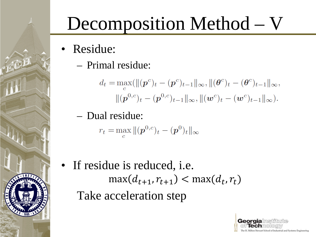# Decomposition Method – V

- Residue:
	- Primal residue:

$$
d_t = \max_c(||(\mathbf{p}^c)_t - (\mathbf{p}^c)_{t-1}||_{\infty}, ||(\boldsymbol{\theta}^c)_t - (\boldsymbol{\theta}^c)_{t-1}||_{\infty},
$$
  

$$
||(\mathbf{p}^{0,c})_t - (\mathbf{p}^{0,c})_{t-1}||_{\infty}, ||(\mathbf{w}^c)_t - (\mathbf{w}^c)_{t-1}||_{\infty}).
$$

– Dual residue:

$$
r_t = \max_c ||(\mathbf{p}^{0,c})_t - (\mathbf{p}^0)_t||_{\infty}
$$

• If residue is reduced, i.e.  $\max(d_{t+1}, r_{t+1}) < \max(d_t, r_t)$ Take acceleration step

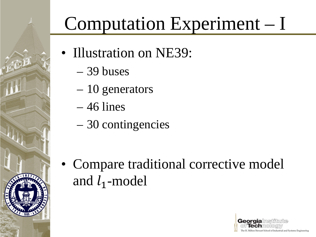#### Computation Experiment – I

- Illustration on NE39:
	- 39 buses
	- 10 generators
	- $-46$  lines
	- 30 contingencies

• Compare traditional corrective model and  $l_1$ -model

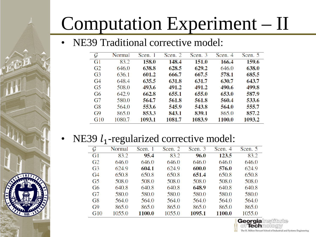#### Computation Experiment – II

#### NE39 Traditional corrective model:

| $\cal G$       | Normal | Scen. 1 | Scen. 2 | Scen. 3 | Scen. 4 | Scen. 5 |
|----------------|--------|---------|---------|---------|---------|---------|
| G <sub>1</sub> | 83.2   | 158.0   | 148.4   | 151.0   | 166.4   | 159.6   |
| G2             | 646.0  | 638.8   | 628.5   | 629.2   | 646.0   | 638.0   |
| G <sub>3</sub> | 636.1  | 601.2   | 666.7   | 667.5   | 578.1   | 685.5   |
| G <sub>4</sub> | 648.4  | 635.5   | 631.8   | 631.7   | 630.7   | 643.7   |
| G5             | 508.0  | 493.6   | 491.2   | 491.2   | 490.6   | 499.8   |
| G6             | 642.9  | 662.8   | 655.1   | 655.0   | 653.0   | 587.9   |
| G7             | 580.0  | 564.7   | 561.8   | 561.8   | 560.4   | 533.6   |
| G8             | 564.0  | 553.6   | 545.9   | 543.8   | 564.0   | 555.7   |
| G <sub>9</sub> | 865.0  | 853.3   | 843.1   | 839.1   | 865.0   | 857.2   |
| G10            | 1080.7 | 1093.1  | 1081.7  | 1083.9  | 1100.0  | 1093.2  |

#### • NE39  $l_1$ -regularized corrective model:

| $\cal G$<br>Scen. 2<br>Scen. 3<br>Scen. 5<br>Scen. 1<br>Normal<br>Scen. 4<br>123.5<br>83.2<br>95.4<br>83.2<br>G1<br>83.2<br>96.0<br>G <sub>2</sub><br>646.0<br>646.0<br>646.0<br>646.0<br>646.0<br>646.0<br>G <sub>3</sub><br>604.1<br>600.0<br>624.9<br>624.9<br>624.9<br>576.0<br>650.8<br>650.8<br>651.4<br>650.8<br>650.8<br>G4<br>650.8<br>G <sub>5</sub><br>508.0<br>508.0<br>508.0<br>508.0<br>508.0<br>508.0<br>648.9<br>640.8<br>640.8<br>640.8<br>640.8<br>G6<br>640.8<br>580.0<br>580.0<br>G7<br>580.0<br>580.0<br>580.0<br>580.0<br>G8<br>564.0<br>564.0<br>564.0<br>564.0<br>564.0<br>564.0<br>865.0<br>865.0<br>865.0<br>865.0<br>865.0<br>G <sub>9</sub><br>865.0<br>1100.0<br>1055.0<br>1095.1<br>1100.0<br>1055.0<br>G10<br>1055.0 |  |  |  |  |
|-----------------------------------------------------------------------------------------------------------------------------------------------------------------------------------------------------------------------------------------------------------------------------------------------------------------------------------------------------------------------------------------------------------------------------------------------------------------------------------------------------------------------------------------------------------------------------------------------------------------------------------------------------------------------------------------------------------------------------------------------------|--|--|--|--|
|                                                                                                                                                                                                                                                                                                                                                                                                                                                                                                                                                                                                                                                                                                                                                     |  |  |  |  |
|                                                                                                                                                                                                                                                                                                                                                                                                                                                                                                                                                                                                                                                                                                                                                     |  |  |  |  |
|                                                                                                                                                                                                                                                                                                                                                                                                                                                                                                                                                                                                                                                                                                                                                     |  |  |  |  |
|                                                                                                                                                                                                                                                                                                                                                                                                                                                                                                                                                                                                                                                                                                                                                     |  |  |  |  |
|                                                                                                                                                                                                                                                                                                                                                                                                                                                                                                                                                                                                                                                                                                                                                     |  |  |  |  |
|                                                                                                                                                                                                                                                                                                                                                                                                                                                                                                                                                                                                                                                                                                                                                     |  |  |  |  |
|                                                                                                                                                                                                                                                                                                                                                                                                                                                                                                                                                                                                                                                                                                                                                     |  |  |  |  |
|                                                                                                                                                                                                                                                                                                                                                                                                                                                                                                                                                                                                                                                                                                                                                     |  |  |  |  |
|                                                                                                                                                                                                                                                                                                                                                                                                                                                                                                                                                                                                                                                                                                                                                     |  |  |  |  |
|                                                                                                                                                                                                                                                                                                                                                                                                                                                                                                                                                                                                                                                                                                                                                     |  |  |  |  |
|                                                                                                                                                                                                                                                                                                                                                                                                                                                                                                                                                                                                                                                                                                                                                     |  |  |  |  |

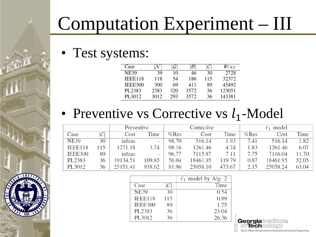#### Computation Experiment – III

• Test systems:

| Case           |      |     | $\mathcal B$ |     | #Var   |
|----------------|------|-----|--------------|-----|--------|
| <b>NE39</b>    | 39   | 10  | 46           | 30  | 2728   |
| <b>IEEE118</b> | 118  | 54  | 186          | 115 | 32372  |
| IEEE300        | 300  | 69  | 411          | 89  | 45492  |
| PL2383         | 2383 | 320 | 3572         | 36  | 123051 |
| PL3012         | 3012 | 293 | 3572         | 36  | 143381 |

#### • Preventive vs Corrective vs  $l_1$ -Model

|                |                | Preventive |        | Corrective |          |        | model<br>$\ell_{1}$ |          |       |
|----------------|----------------|------------|--------|------------|----------|--------|---------------------|----------|-------|
| Case           | $\mathcal C$ l | Cost       | Time   | %Res       | Cost     | Time   | %Res                | Cost     | Time  |
| <b>NE39</b>    | 30             | infeas     | -      | 98.70      | 516.14   | 1.93   | 7.41                | 516.14   | 1.82  |
| <b>IEEE118</b> | 15             | 1271.18    | 3.74   | 98.16      | 1261.46  | 4.74   | 1.83                | 1261.46  | 6.07  |
| <b>IEEE300</b> | 89             | infeas     | -      | 96.77      | 7115.87  | 7.11   | 7 75                | 7116.04  | 11.70 |
| PL2383         | 36             | 19134.51   | 109.85 | 56.04      | 18461.95 | 119.79 | 0.87                | 18461.95 | 52.05 |
| PL3012         | 36             | 25151.41   | 938.62 | 81.96      | 25058.10 | 473.67 | 2.15                | 25058.24 | 63.04 |

|                |     | $\ell_1$ model by Alg. 2 |
|----------------|-----|--------------------------|
| Case           | C   | <b>Time</b>              |
| <b>NE39</b>    | 30  | 0.54                     |
| <b>IEEE118</b> | 115 | 0.89                     |
| <b>IEEE300</b> | 89  | 1.75                     |
| PL2383         | 36  | 23.04                    |
| PL3012         | 36  | 26.36                    |

Georgialns UTi i(Ə) **Techmol LOCITY** The H. Milton Stewart School of Industrial and Systems Engineering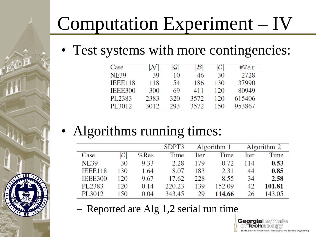#### Computation Experiment – IV

• Test systems with more contingencies:

| Case           |      | G   | $\mathcal{B}$ |     | #Var   |
|----------------|------|-----|---------------|-----|--------|
| <b>NE39</b>    | 39   | 10  | 46            | 30  | 2728   |
| <b>IEEE118</b> | 118  | 54  | 186           | 130 | 37990  |
| IEEE300        | 300  | 69  | 411           | 120 | 80949  |
| PL2383         | 2383 | 320 | 3572          | 120 | 615406 |
| PL3012         | 3012 | 293 | 3572          | 150 | 953867 |

• Algorithms running times:

|                |               |      | SDPT3  | Algorithm 1 |        | Algorithm 2 |        |
|----------------|---------------|------|--------|-------------|--------|-------------|--------|
| Case           | $\mathcal{C}$ | %Res | Time   | Iter        | Time   | Iter        | Time   |
| <b>NE39</b>    | 30            | 9.33 | 2.28   | 179         | 0.72   | 114         | 0.53   |
| <b>IEEE118</b> | 130           | 1.64 | 8.07   | 183         | 2.31   | 44          | 0.85   |
| <b>IEEE300</b> | 120           | 9.67 | 17.62  | 228         | 8.55   | 34          | 2.58   |
| PL2383         | 120           | 0.14 | 220.23 | 139         | 152.09 | 42.         | 101.81 |
| PL3012         | 150           | 0.04 | 343.45 | 29          | 114.66 | 26          | 143.05 |

**Georgia** lechi

he H. Milton Stewart School of Industrial and Systems Engineering

– Reported are Alg 1,2 serial run time